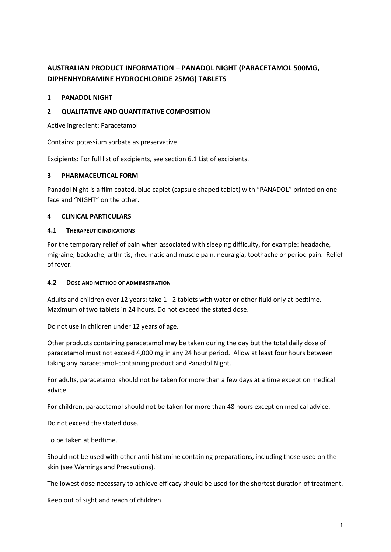# **AUSTRALIAN PRODUCT INFORMATION – PANADOL NIGHT (PARACETAMOL 500MG, DIPHENHYDRAMINE HYDROCHLORIDE 25MG) TABLETS**

### **1 PANADOL NIGHT**

### **2 QUALITATIVE AND QUANTITATIVE COMPOSITION**

Active ingredient: Paracetamol

Contains: potassium sorbate as preservative

Excipients: For full list of excipients, see section 6.1 List of excipients.

### **3 PHARMACEUTICAL FORM**

Panadol Night is a film coated, blue caplet (capsule shaped tablet) with "PANADOL" printed on one face and "NIGHT" on the other.

### **4 CLINICAL PARTICULARS**

#### **4.1 THERAPEUTIC INDICATIONS**

For the temporary relief of pain when associated with sleeping difficulty, for example: headache, migraine, backache, arthritis, rheumatic and muscle pain, neuralgia, toothache or period pain. Relief of fever.

#### **4.2 DOSE AND METHOD OF ADMINISTRATION**

Adults and children over 12 years: take 1 - 2 tablets with water or other fluid only at bedtime. Maximum of two tablets in 24 hours. Do not exceed the stated dose.

Do not use in children under 12 years of age.

Other products containing paracetamol may be taken during the day but the total daily dose of paracetamol must not exceed 4,000 mg in any 24 hour period. Allow at least four hours between taking any paracetamol-containing product and Panadol Night.

For adults, paracetamol should not be taken for more than a few days at a time except on medical advice.

For children, paracetamol should not be taken for more than 48 hours except on medical advice.

Do not exceed the stated dose.

To be taken at bedtime.

Should not be used with other anti-histamine containing preparations, including those used on the skin (see Warnings and Precautions).

The lowest dose necessary to achieve efficacy should be used for the shortest duration of treatment.

Keep out of sight and reach of children.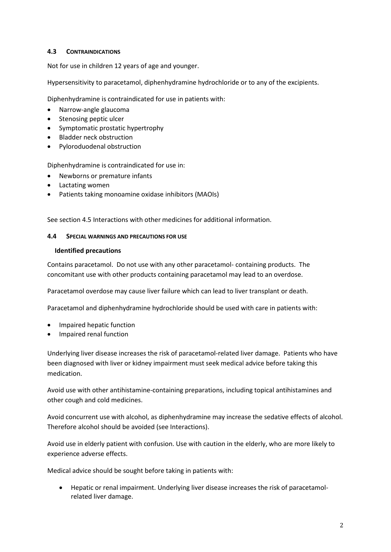# **4.3 CONTRAINDICATIONS**

Not for use in children 12 years of age and younger.

Hypersensitivity to paracetamol, diphenhydramine hydrochloride or to any of the excipients.

Diphenhydramine is contraindicated for use in patients with:

- Narrow-angle glaucoma
- Stenosing peptic ulcer
- Symptomatic prostatic hypertrophy
- Bladder neck obstruction
- Pyloroduodenal obstruction

Diphenhydramine is contraindicated for use in:

- Newborns or premature infants
- Lactating women
- Patients taking monoamine oxidase inhibitors (MAOIs)

See section 4.5 Interactions with other medicines for additional information.

#### **4.4 SPECIAL WARNINGS AND PRECAUTIONS FOR USE**

#### **Identified precautions**

Contains paracetamol. Do not use with any other paracetamol- containing products. The concomitant use with other products containing paracetamol may lead to an overdose.

Paracetamol overdose may cause liver failure which can lead to liver transplant or death.

Paracetamol and diphenhydramine hydrochloride should be used with care in patients with:

- Impaired hepatic function
- Impaired renal function

Underlying liver disease increases the risk of paracetamol-related liver damage. Patients who have been diagnosed with liver or kidney impairment must seek medical advice before taking this medication.

Avoid use with other antihistamine-containing preparations, including topical antihistamines and other cough and cold medicines.

Avoid concurrent use with alcohol, as diphenhydramine may increase the sedative effects of alcohol. Therefore alcohol should be avoided (see Interactions).

Avoid use in elderly patient with confusion. Use with caution in the elderly, who are more likely to experience adverse effects.

Medical advice should be sought before taking in patients with:

• Hepatic or renal impairment. Underlying liver disease increases the risk of paracetamolrelated liver damage.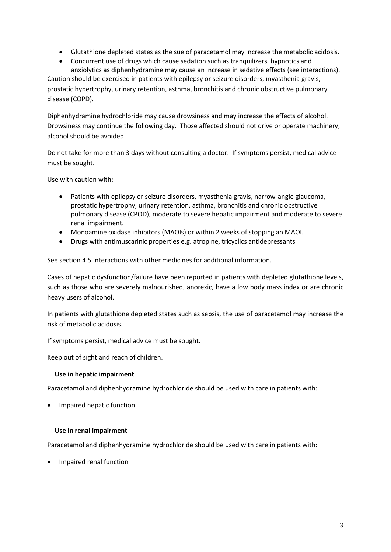- Glutathione depleted states as the sue of paracetamol may increase the metabolic acidosis.
- Concurrent use of drugs which cause sedation such as tranquilizers, hypnotics and anxiolytics as diphenhydramine may cause an increase in sedative effects (see interactions). Caution should be exercised in patients with epilepsy or seizure disorders, myasthenia gravis, prostatic hypertrophy, urinary retention, asthma, bronchitis and chronic obstructive pulmonary disease (COPD).

Diphenhydramine hydrochloride may cause drowsiness and may increase the effects of alcohol. Drowsiness may continue the following day. Those affected should not drive or operate machinery; alcohol should be avoided.

Do not take for more than 3 days without consulting a doctor. If symptoms persist, medical advice must be sought.

Use with caution with:

- Patients with epilepsy or seizure disorders, myasthenia gravis, narrow-angle glaucoma, prostatic hypertrophy, urinary retention, asthma, bronchitis and chronic obstructive pulmonary disease (CPOD), moderate to severe hepatic impairment and moderate to severe renal impairment.
- Monoamine oxidase inhibitors (MAOIs) or within 2 weeks of stopping an MAOI.
- Drugs with antimuscarinic properties e.g. atropine, tricyclics antidepressants

See section 4.5 Interactions with other medicines for additional information.

Cases of hepatic dysfunction/failure have been reported in patients with depleted glutathione levels, such as those who are severely malnourished, anorexic, have a low body mass index or are chronic heavy users of alcohol.

In patients with glutathione depleted states such as sepsis, the use of paracetamol may increase the risk of metabolic acidosis.

If symptoms persist, medical advice must be sought.

Keep out of sight and reach of children.

# **Use in hepatic impairment**

Paracetamol and diphenhydramine hydrochloride should be used with care in patients with:

• Impaired hepatic function

# **Use in renal impairment**

Paracetamol and diphenhydramine hydrochloride should be used with care in patients with:

• Impaired renal function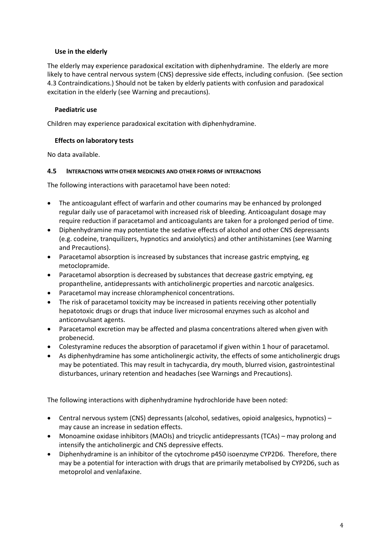# **Use in the elderly**

The elderly may experience paradoxical excitation with diphenhydramine. The elderly are more likely to have central nervous system (CNS) depressive side effects, including confusion. (See section 4.3 Contraindications.) Should not be taken by elderly patients with confusion and paradoxical excitation in the elderly (see Warning and precautions).

# **Paediatric use**

Children may experience paradoxical excitation with diphenhydramine.

### **Effects on laboratory tests**

No data available.

### **4.5 INTERACTIONS WITH OTHER MEDICINES AND OTHER FORMS OF INTERACTIONS**

The following interactions with paracetamol have been noted:

- The anticoagulant effect of warfarin and other coumarins may be enhanced by prolonged regular daily use of paracetamol with increased risk of bleeding. Anticoagulant dosage may require reduction if paracetamol and anticoagulants are taken for a prolonged period of time.
- Diphenhydramine may potentiate the sedative effects of alcohol and other CNS depressants (e.g. codeine, tranquilizers, hypnotics and anxiolytics) and other antihistamines (see Warning and Precautions).
- Paracetamol absorption is increased by substances that increase gastric emptying, eg metoclopramide.
- Paracetamol absorption is decreased by substances that decrease gastric emptying, eg propantheline, antidepressants with anticholinergic properties and narcotic analgesics.
- Paracetamol may increase chloramphenicol concentrations.
- The risk of paracetamol toxicity may be increased in patients receiving other potentially hepatotoxic drugs or drugs that induce liver microsomal enzymes such as alcohol and anticonvulsant agents.
- Paracetamol excretion may be affected and plasma concentrations altered when given with probenecid.
- Colestyramine reduces the absorption of paracetamol if given within 1 hour of paracetamol.
- As diphenhydramine has some anticholinergic activity, the effects of some anticholinergic drugs may be potentiated. This may result in tachycardia, dry mouth, blurred vision, gastrointestinal disturbances, urinary retention and headaches (see Warnings and Precautions).

The following interactions with diphenhydramine hydrochloride have been noted:

- Central nervous system (CNS) depressants (alcohol, sedatives, opioid analgesics, hypnotics) may cause an increase in sedation effects.
- Monoamine oxidase inhibitors (MAOIs) and tricyclic antidepressants (TCAs) may prolong and intensify the anticholinergic and CNS depressive effects.
- Diphenhydramine is an inhibitor of the cytochrome p450 isoenzyme CYP2D6. Therefore, there may be a potential for interaction with drugs that are primarily metabolised by CYP2D6, such as metoprolol and venlafaxine.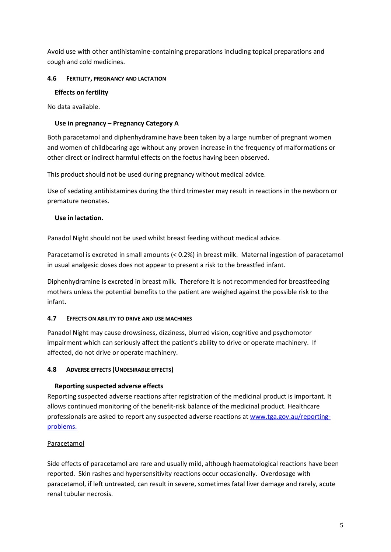Avoid use with other antihistamine-containing preparations including topical preparations and cough and cold medicines.

# **4.6 FERTILITY, PREGNANCY AND LACTATION**

# **Effects on fertility**

No data available.

# **Use in pregnancy – Pregnancy Category A**

Both paracetamol and diphenhydramine have been taken by a large number of pregnant women and women of childbearing age without any proven increase in the frequency of malformations or other direct or indirect harmful effects on the foetus having been observed.

This product should not be used during pregnancy without medical advice.

Use of sedating antihistamines during the third trimester may result in reactions in the newborn or premature neonates.

# **Use in lactation.**

Panadol Night should not be used whilst breast feeding without medical advice.

Paracetamol is excreted in small amounts (< 0.2%) in breast milk. Maternal ingestion of paracetamol in usual analgesic doses does not appear to present a risk to the breastfed infant.

Diphenhydramine is excreted in breast milk. Therefore it is not recommended for breastfeeding mothers unless the potential benefits to the patient are weighed against the possible risk to the infant.

# **4.7 EFFECTS ON ABILITY TO DRIVE AND USE MACHINES**

Panadol Night may cause drowsiness, dizziness, blurred vision, cognitive and psychomotor impairment which can seriously affect the patient's ability to drive or operate machinery. If affected, do not drive or operate machinery.

# **4.8 ADVERSE EFFECTS (UNDESIRABLE EFFECTS)**

# **Reporting suspected adverse effects**

Reporting suspected adverse reactions after registration of the medicinal product is important. It allows continued monitoring of the benefit-risk balance of the medicinal product. Healthcare professionals are asked to report any suspected adverse reactions at [www.tga.gov.au/reporting](http://www.tga.gov.au/reporting-problems)[problems.](http://www.tga.gov.au/reporting-problems)

# Paracetamol

Side effects of paracetamol are rare and usually mild, although haematological reactions have been reported. Skin rashes and hypersensitivity reactions occur occasionally. Overdosage with paracetamol, if left untreated, can result in severe, sometimes fatal liver damage and rarely, acute renal tubular necrosis.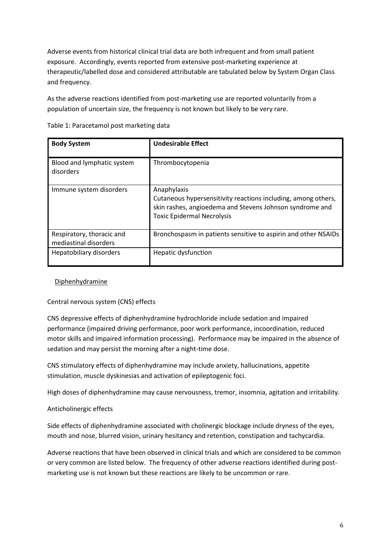Adverse events from historical clinical trial data are both infrequent and from small patient exposure. Accordingly, events reported from extensive post-marketing experience at therapeutic/labelled dose and considered attributable are tabulated below by System Organ Class and frequency.

As the adverse reactions identified from post-marketing use are reported voluntarily from a population of uncertain size, the frequency is not known but likely to be very rare.

| <b>Body System</b>                                 | <b>Undesirable Effect</b>                                                                                                                                                     |
|----------------------------------------------------|-------------------------------------------------------------------------------------------------------------------------------------------------------------------------------|
| Blood and lymphatic system<br>disorders            | Thrombocytopenia                                                                                                                                                              |
| Immune system disorders                            | Anaphylaxis<br>Cutaneous hypersensitivity reactions including, among others,<br>skin rashes, angioedema and Stevens Johnson syndrome and<br><b>Toxic Epidermal Necrolysis</b> |
| Respiratory, thoracic and<br>mediastinal disorders | Bronchospasm in patients sensitive to aspirin and other NSAIDs                                                                                                                |
| Hepatobiliary disorders                            | Hepatic dysfunction                                                                                                                                                           |

Table 1: Paracetamol post marketing data

# **Diphenhydramine**

# Central nervous system (CNS) effects

CNS depressive effects of diphenhydramine hydrochloride include sedation and impaired performance (impaired driving performance, poor work performance, incoordination, reduced motor skills and impaired information processing). Performance may be impaired in the absence of sedation and may persist the morning after a night-time dose.

CNS stimulatory effects of diphenhydramine may include anxiety, hallucinations, appetite stimulation, muscle dyskinesias and activation of epileptogenic foci.

High doses of diphenhydramine may cause nervousness, tremor, insomnia, agitation and irritability.

# Anticholinergic effects

Side effects of diphenhydramine associated with cholinergic blockage include dryness of the eyes, mouth and nose, blurred vision, urinary hesitancy and retention, constipation and tachycardia.

Adverse reactions that have been observed in clinical trials and which are considered to be common or very common are listed below. The frequency of other adverse reactions identified during postmarketing use is not known but these reactions are likely to be uncommon or rare.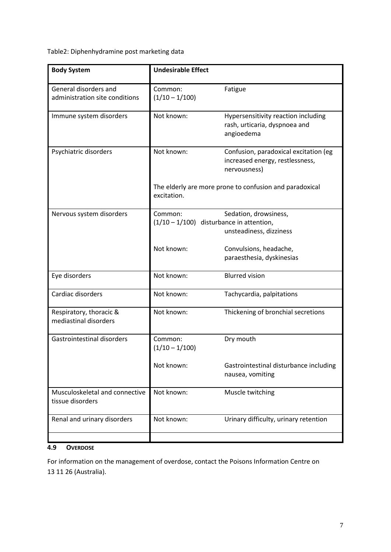Table2: Diphenhydramine post marketing data

| <b>Body System</b>                                      | <b>Undesirable Effect</b>                                              |                                                                                          |  |
|---------------------------------------------------------|------------------------------------------------------------------------|------------------------------------------------------------------------------------------|--|
| General disorders and<br>administration site conditions | Common:<br>$(1/10 - 1/100)$                                            | Fatigue                                                                                  |  |
| Immune system disorders                                 | Not known:                                                             | Hypersensitivity reaction including<br>rash, urticaria, dyspnoea and<br>angioedema       |  |
| Psychiatric disorders                                   | Not known:                                                             | Confusion, paradoxical excitation (eg<br>increased energy, restlessness,<br>nervousness) |  |
|                                                         | The elderly are more prone to confusion and paradoxical<br>excitation. |                                                                                          |  |
| Nervous system disorders                                | Common:<br>$(1/10 - 1/100)$ disturbance in attention,                  | Sedation, drowsiness,<br>unsteadiness, dizziness                                         |  |
|                                                         | Not known:                                                             | Convulsions, headache,<br>paraesthesia, dyskinesias                                      |  |
| Eye disorders                                           | Not known:                                                             | <b>Blurred vision</b>                                                                    |  |
| Cardiac disorders                                       | Not known:                                                             | Tachycardia, palpitations                                                                |  |
| Respiratory, thoracic &<br>mediastinal disorders        | Not known:                                                             | Thickening of bronchial secretions                                                       |  |
| <b>Gastrointestinal disorders</b>                       | Common:<br>$(1/10 - 1/100)$                                            | Dry mouth                                                                                |  |
|                                                         | Not known:                                                             | Gastrointestinal disturbance including<br>nausea, vomiting                               |  |
| Musculoskeletal and connective<br>tissue disorders      | Not known:                                                             | Muscle twitching                                                                         |  |
| Renal and urinary disorders                             | Not known:                                                             | Urinary difficulty, urinary retention                                                    |  |
|                                                         |                                                                        |                                                                                          |  |

# **4.9 OVERDOSE**

For information on the management of overdose, contact the Poisons Information Centre on 13 11 26 (Australia).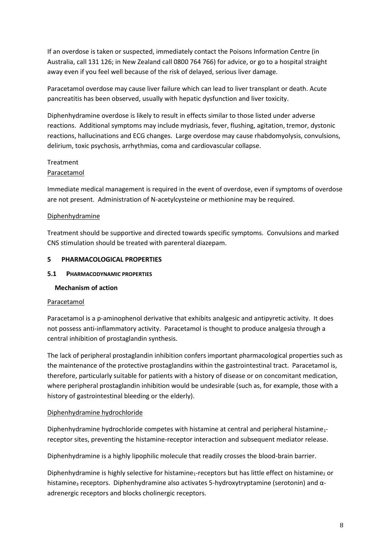If an overdose is taken or suspected, immediately contact the Poisons Information Centre (in Australia, call 131 126; in New Zealand call 0800 764 766) for advice, or go to a hospital straight away even if you feel well because of the risk of delayed, serious liver damage.

Paracetamol overdose may cause liver failure which can lead to liver transplant or death. Acute pancreatitis has been observed, usually with hepatic dysfunction and liver toxicity.

Diphenhydramine overdose is likely to result in effects similar to those listed under adverse reactions. Additional symptoms may include mydriasis, fever, flushing, agitation, tremor, dystonic reactions, hallucinations and ECG changes. Large overdose may cause rhabdomyolysis, convulsions, delirium, toxic psychosis, arrhythmias, coma and cardiovascular collapse.

### **Treatment**

# Paracetamol

Immediate medical management is required in the event of overdose, even if symptoms of overdose are not present. Administration of N-acetylcysteine or methionine may be required.

# Diphenhydramine

Treatment should be supportive and directed towards specific symptoms. Convulsions and marked CNS stimulation should be treated with parenteral diazepam.

### **5 PHARMACOLOGICAL PROPERTIES**

### **5.1 PHARMACODYNAMIC PROPERTIES**

# **Mechanism of action**

#### Paracetamol

Paracetamol is a p-aminophenol derivative that exhibits analgesic and antipyretic activity. It does not possess anti-inflammatory activity. Paracetamol is thought to produce analgesia through a central inhibition of prostaglandin synthesis.

The lack of peripheral prostaglandin inhibition confers important pharmacological properties such as the maintenance of the protective prostaglandins within the gastrointestinal tract. Paracetamol is, therefore, particularly suitable for patients with a history of disease or on concomitant medication, where peripheral prostaglandin inhibition would be undesirable (such as, for example, those with a history of gastrointestinal bleeding or the elderly).

# Diphenhydramine hydrochloride

Diphenhydramine hydrochloride competes with histamine at central and peripheral histamine<sub>1</sub>receptor sites, preventing the histamine-receptor interaction and subsequent mediator release.

Diphenhydramine is a highly lipophilic molecule that readily crosses the blood-brain barrier.

Diphenhydramine is highly selective for histamine<sub>1</sub>-receptors but has little effect on histamine<sub>2</sub> or histamine<sub>3</sub> receptors. Diphenhydramine also activates 5-hydroxytryptamine (serotonin) and  $\alpha$ adrenergic receptors and blocks cholinergic receptors.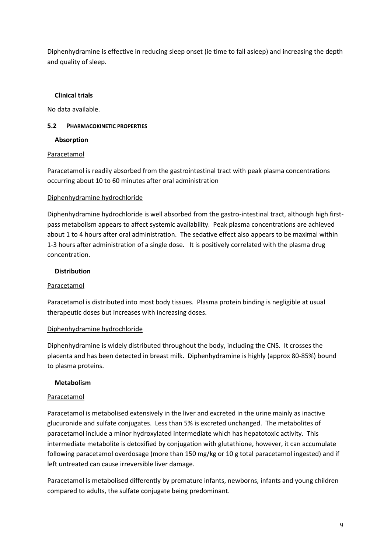Diphenhydramine is effective in reducing sleep onset (ie time to fall asleep) and increasing the depth and quality of sleep.

# **Clinical trials**

No data available.

# **5.2 PHARMACOKINETIC PROPERTIES**

### **Absorption**

# Paracetamol

Paracetamol is readily absorbed from the gastrointestinal tract with peak plasma concentrations occurring about 10 to 60 minutes after oral administration

### Diphenhydramine hydrochloride

Diphenhydramine hydrochloride is well absorbed from the gastro-intestinal tract, although high firstpass metabolism appears to affect systemic availability. Peak plasma concentrations are achieved about 1 to 4 hours after oral administration. The sedative effect also appears to be maximal within 1-3 hours after administration of a single dose. It is positively correlated with the plasma drug concentration.

### **Distribution**

# Paracetamol

Paracetamol is distributed into most body tissues. Plasma protein binding is negligible at usual therapeutic doses but increases with increasing doses.

# Diphenhydramine hydrochloride

Diphenhydramine is widely distributed throughout the body, including the CNS. It crosses the placenta and has been detected in breast milk. Diphenhydramine is highly (approx 80-85%) bound to plasma proteins.

# **Metabolism**

# Paracetamol

Paracetamol is metabolised extensively in the liver and excreted in the urine mainly as inactive glucuronide and sulfate conjugates. Less than 5% is excreted unchanged. The metabolites of paracetamol include a minor hydroxylated intermediate which has hepatotoxic activity. This intermediate metabolite is detoxified by conjugation with glutathione, however, it can accumulate following paracetamol overdosage (more than 150 mg/kg or 10 g total paracetamol ingested) and if left untreated can cause irreversible liver damage.

Paracetamol is metabolised differently by premature infants, newborns, infants and young children compared to adults, the sulfate conjugate being predominant.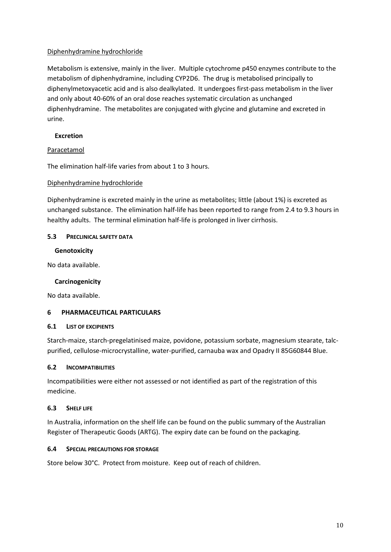# Diphenhydramine hydrochloride

Metabolism is extensive, mainly in the liver. Multiple cytochrome p450 enzymes contribute to the metabolism of diphenhydramine, including CYP2D6. The drug is metabolised principally to diphenylmetoxyacetic acid and is also dealkylated. It undergoes first-pass metabolism in the liver and only about 40-60% of an oral dose reaches systematic circulation as unchanged diphenhydramine. The metabolites are conjugated with glycine and glutamine and excreted in urine.

### **Excretion**

### Paracetamol

The elimination half-life varies from about 1 to 3 hours.

### Diphenhydramine hydrochloride

Diphenhydramine is excreted mainly in the urine as metabolites; little (about 1%) is excreted as unchanged substance. The elimination half-life has been reported to range from 2.4 to 9.3 hours in healthy adults. The terminal elimination half-life is prolonged in liver cirrhosis.

### **5.3 PRECLINICAL SAFETY DATA**

### **Genotoxicity**

No data available.

# **Carcinogenicity**

No data available.

# **6 PHARMACEUTICAL PARTICULARS**

#### **6.1 LIST OF EXCIPIENTS**

Starch-maize, starch-pregelatinised maize, povidone, potassium sorbate, magnesium stearate, talcpurified, cellulose-microcrystalline, water-purified, carnauba wax and Opadry II 85G60844 Blue.

#### **6.2 INCOMPATIBILITIES**

Incompatibilities were either not assessed or not identified as part of the registration of this medicine.

#### **6.3 SHELF LIFE**

In Australia, information on the shelf life can be found on the public summary of the Australian Register of Therapeutic Goods (ARTG). The expiry date can be found on the packaging.

#### **6.4 SPECIAL PRECAUTIONS FOR STORAGE**

Store below 30°C. Protect from moisture. Keep out of reach of children.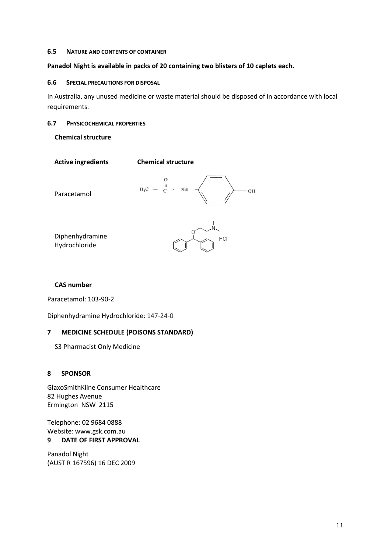#### **6.5 NATURE AND CONTENTS OF CONTAINER**

#### **Panadol Night is available in packs of 20 containing two blisters of 10 caplets each.**

#### **6.6 SPECIAL PRECAUTIONS FOR DISPOSAL**

In Australia, any unused medicine or waste material should be disposed of in accordance with local requirements.

#### **6.7 PHYSICOCHEMICAL PROPERTIES**

**Chemical structure**



#### **CAS number**

Paracetamol: 103-90-2

Diphenhydramine Hydrochloride: 147-24-0

#### **7 MEDICINE SCHEDULE (POISONS STANDARD)**

S3 Pharmacist Only Medicine

#### **8 SPONSOR**

GlaxoSmithKline Consumer Healthcare 82 Hughes Avenue Ermington NSW 2115

Telephone: 02 9684 0888 Website: www.gsk.com.au **9 DATE OF FIRST APPROVAL** 

Panadol Night (AUST R 167596) 16 DEC 2009